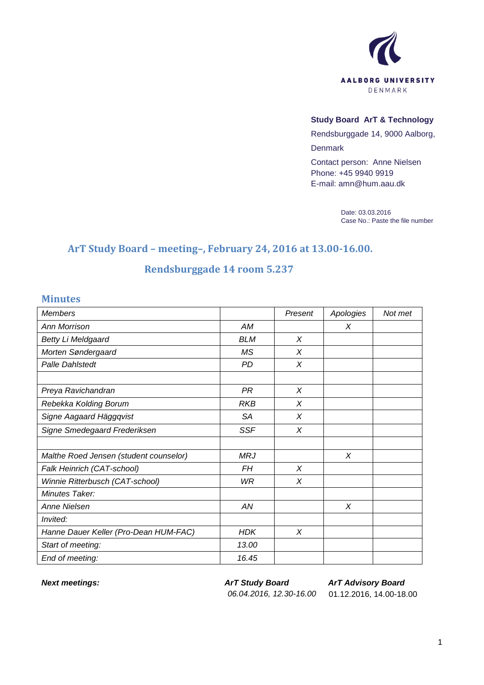

## **Study Board ArT & Technology**

Rendsburggade 14, 9000 Aalborg, Denmark

Contact person: Anne Nielsen Phone: +45 9940 9919 E-mail: amn@hum.aau.dk

> Date: 03.03.2016 Case No.: Paste the file number

## **ArT Study Board – meeting–, February 24, 2016 at 13.00-16.00.**

## **Rendsburggade 14 room 5.237**

## **Minutes**

| <b>Members</b>                         |            | Present  | Apologies | Not met |
|----------------------------------------|------------|----------|-----------|---------|
| Ann Morrison                           | AМ         |          | Χ         |         |
| <b>Betty Li Meldgaard</b>              | <b>BLM</b> | X        |           |         |
| Morten Søndergaard                     | <b>MS</b>  | $\chi$   |           |         |
| <b>Palle Dahlstedt</b>                 | PD         | X        |           |         |
|                                        |            |          |           |         |
| Preya Ravichandran                     | PR         | $\times$ |           |         |
| Rebekka Kolding Borum                  | <b>RKB</b> | X        |           |         |
| Signe Aagaard Häggqvist                | <b>SA</b>  | X        |           |         |
| Signe Smedegaard Frederiksen           | <b>SSF</b> | X        |           |         |
|                                        |            |          |           |         |
| Malthe Roed Jensen (student counselor) | <b>MRJ</b> |          | X         |         |
| Falk Heinrich (CAT-school)             | FΗ         | $\times$ |           |         |
| Winnie Ritterbusch (CAT-school)        | <b>WR</b>  | X        |           |         |
| Minutes Taker:                         |            |          |           |         |
| <b>Anne Nielsen</b>                    | AN         |          | X         |         |
| Invited:                               |            |          |           |         |
| Hanne Dauer Keller (Pro-Dean HUM-FAC)  | <b>HDK</b> | X        |           |         |
| Start of meeting:                      | 13.00      |          |           |         |
| End of meeting:                        | 16.45      |          |           |         |

*Next meetings: ArT Study Board 06.04.2016, 12.30-16.00* 01.12.2016, 14.00-18.00

*ArT Advisory Board*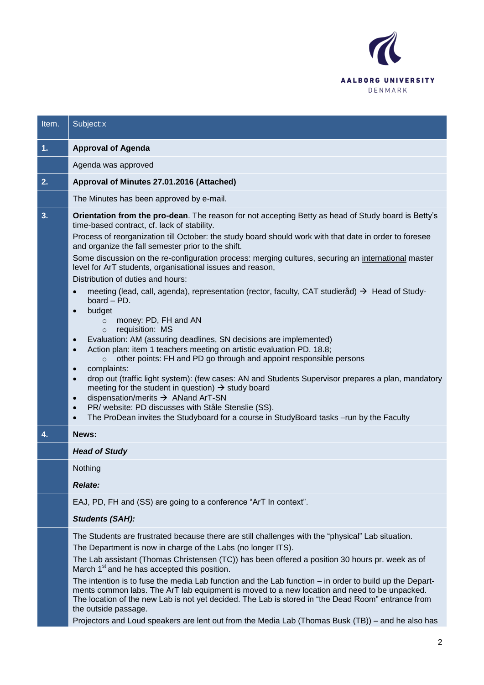

| Item. | Subject:x                                                                                                                                                                                                                                                                                                                                                                                                                                                                                                                                                                                                                                                                                                                                                                                                                                                                                                                                                                                                                                                                                                                                                                                                                                                                                                                                                                                                                                                                            |
|-------|--------------------------------------------------------------------------------------------------------------------------------------------------------------------------------------------------------------------------------------------------------------------------------------------------------------------------------------------------------------------------------------------------------------------------------------------------------------------------------------------------------------------------------------------------------------------------------------------------------------------------------------------------------------------------------------------------------------------------------------------------------------------------------------------------------------------------------------------------------------------------------------------------------------------------------------------------------------------------------------------------------------------------------------------------------------------------------------------------------------------------------------------------------------------------------------------------------------------------------------------------------------------------------------------------------------------------------------------------------------------------------------------------------------------------------------------------------------------------------------|
| 1.    | <b>Approval of Agenda</b>                                                                                                                                                                                                                                                                                                                                                                                                                                                                                                                                                                                                                                                                                                                                                                                                                                                                                                                                                                                                                                                                                                                                                                                                                                                                                                                                                                                                                                                            |
|       | Agenda was approved                                                                                                                                                                                                                                                                                                                                                                                                                                                                                                                                                                                                                                                                                                                                                                                                                                                                                                                                                                                                                                                                                                                                                                                                                                                                                                                                                                                                                                                                  |
| 2.    | Approval of Minutes 27.01.2016 (Attached)                                                                                                                                                                                                                                                                                                                                                                                                                                                                                                                                                                                                                                                                                                                                                                                                                                                                                                                                                                                                                                                                                                                                                                                                                                                                                                                                                                                                                                            |
|       | The Minutes has been approved by e-mail.                                                                                                                                                                                                                                                                                                                                                                                                                                                                                                                                                                                                                                                                                                                                                                                                                                                                                                                                                                                                                                                                                                                                                                                                                                                                                                                                                                                                                                             |
| 3.    | Orientation from the pro-dean. The reason for not accepting Betty as head of Study board is Betty's<br>time-based contract, cf. lack of stability.<br>Process of reorganization till October: the study board should work with that date in order to foresee<br>and organize the fall semester prior to the shift.<br>Some discussion on the re-configuration process: merging cultures, securing an international master<br>level for ArT students, organisational issues and reason,<br>Distribution of duties and hours:<br>meeting (lead, call, agenda), representation (rector, faculty, CAT studieråd) $\rightarrow$ Head of Study-<br>$\bullet$<br>board $-$ PD.<br>budget<br>$\bullet$<br>money: PD, FH and AN<br>$\circ$<br>requisition: MS<br>$\circ$<br>Evaluation: AM (assuring deadlines, SN decisions are implemented)<br>$\bullet$<br>Action plan: item 1 teachers meeting on artistic evaluation PD. 18.8;<br>$\bullet$<br>other points: FH and PD go through and appoint responsible persons<br>$\circ$<br>complaints:<br>$\bullet$<br>drop out (traffic light system): (few cases: AN and Students Supervisor prepares a plan, mandatory<br>$\bullet$<br>meeting for the student in question) $\rightarrow$ study board<br>dispensation/merits $\rightarrow$ ANand ArT-SN<br>$\bullet$<br>PR/ website: PD discusses with Ståle Stenslie (SS).<br>$\bullet$<br>The ProDean invites the Studyboard for a course in StudyBoard tasks -run by the Faculty<br>$\bullet$ |
| 4.    | News:                                                                                                                                                                                                                                                                                                                                                                                                                                                                                                                                                                                                                                                                                                                                                                                                                                                                                                                                                                                                                                                                                                                                                                                                                                                                                                                                                                                                                                                                                |
|       | <b>Head of Study</b>                                                                                                                                                                                                                                                                                                                                                                                                                                                                                                                                                                                                                                                                                                                                                                                                                                                                                                                                                                                                                                                                                                                                                                                                                                                                                                                                                                                                                                                                 |
|       | Nothing                                                                                                                                                                                                                                                                                                                                                                                                                                                                                                                                                                                                                                                                                                                                                                                                                                                                                                                                                                                                                                                                                                                                                                                                                                                                                                                                                                                                                                                                              |
|       | <b>Relate:</b>                                                                                                                                                                                                                                                                                                                                                                                                                                                                                                                                                                                                                                                                                                                                                                                                                                                                                                                                                                                                                                                                                                                                                                                                                                                                                                                                                                                                                                                                       |
|       | EAJ, PD, FH and (SS) are going to a conference "ArT In context".                                                                                                                                                                                                                                                                                                                                                                                                                                                                                                                                                                                                                                                                                                                                                                                                                                                                                                                                                                                                                                                                                                                                                                                                                                                                                                                                                                                                                     |
|       | <b>Students (SAH):</b>                                                                                                                                                                                                                                                                                                                                                                                                                                                                                                                                                                                                                                                                                                                                                                                                                                                                                                                                                                                                                                                                                                                                                                                                                                                                                                                                                                                                                                                               |
|       | The Students are frustrated because there are still challenges with the "physical" Lab situation.<br>The Department is now in charge of the Labs (no longer ITS).<br>The Lab assistant (Thomas Christensen (TC)) has been offered a position 30 hours pr. week as of<br>March 1 <sup>st</sup> and he has accepted this position.<br>The intention is to fuse the media Lab function and the Lab function - in order to build up the Depart-<br>ments common labs. The ArT lab equipment is moved to a new location and need to be unpacked.<br>The location of the new Lab is not yet decided. The Lab is stored in "the Dead Room" entrance from<br>the outside passage.<br>Projectors and Loud speakers are lent out from the Media Lab (Thomas Busk (TB)) - and he also has                                                                                                                                                                                                                                                                                                                                                                                                                                                                                                                                                                                                                                                                                                       |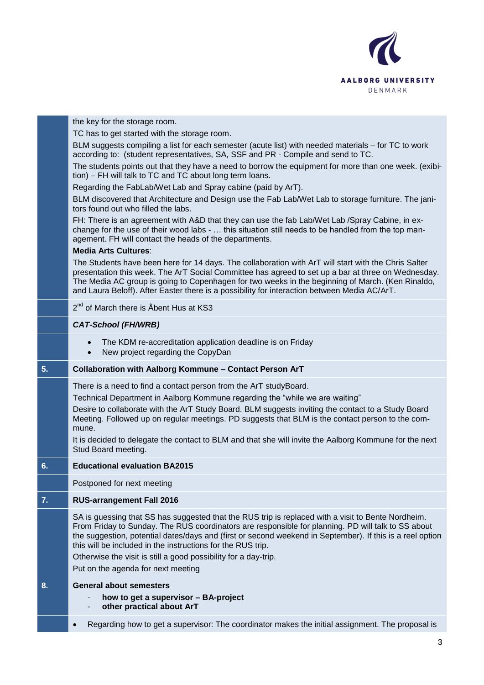

|    | the key for the storage room.                                                                                                                                                                                                                                                                                                                                                                                                                           |
|----|---------------------------------------------------------------------------------------------------------------------------------------------------------------------------------------------------------------------------------------------------------------------------------------------------------------------------------------------------------------------------------------------------------------------------------------------------------|
|    | TC has to get started with the storage room.                                                                                                                                                                                                                                                                                                                                                                                                            |
|    | BLM suggests compiling a list for each semester (acute list) with needed materials - for TC to work<br>according to: (student representatives, SA, SSF and PR - Compile and send to TC.                                                                                                                                                                                                                                                                 |
|    | The students points out that they have a need to borrow the equipment for more than one week. (exibi-<br>tion) – FH will talk to TC and TC about long term loans.                                                                                                                                                                                                                                                                                       |
|    | Regarding the FabLab/Wet Lab and Spray cabine (paid by ArT).                                                                                                                                                                                                                                                                                                                                                                                            |
|    | BLM discovered that Architecture and Design use the Fab Lab/Wet Lab to storage furniture. The jani-<br>tors found out who filled the labs.                                                                                                                                                                                                                                                                                                              |
|    | FH: There is an agreement with A&D that they can use the fab Lab/Wet Lab /Spray Cabine, in ex-<br>change for the use of their wood labs -  this situation still needs to be handled from the top man-<br>agement. FH will contact the heads of the departments.                                                                                                                                                                                         |
|    | <b>Media Arts Cultures:</b>                                                                                                                                                                                                                                                                                                                                                                                                                             |
|    | The Students have been here for 14 days. The collaboration with ArT will start with the Chris Salter<br>presentation this week. The ArT Social Committee has agreed to set up a bar at three on Wednesday.<br>The Media AC group is going to Copenhagen for two weeks in the beginning of March. (Ken Rinaldo,<br>and Laura Beloff). After Easter there is a possibility for interaction between Media AC/ArT.                                          |
|    | 2 <sup>nd</sup> of March there is Åbent Hus at KS3                                                                                                                                                                                                                                                                                                                                                                                                      |
|    | <b>CAT-School (FH/WRB)</b>                                                                                                                                                                                                                                                                                                                                                                                                                              |
|    | The KDM re-accreditation application deadline is on Friday<br>$\bullet$<br>New project regarding the CopyDan<br>$\bullet$                                                                                                                                                                                                                                                                                                                               |
| 5. | Collaboration with Aalborg Kommune - Contact Person ArT                                                                                                                                                                                                                                                                                                                                                                                                 |
|    | There is a need to find a contact person from the ArT studyBoard.                                                                                                                                                                                                                                                                                                                                                                                       |
|    | Technical Department in Aalborg Kommune regarding the "while we are waiting"                                                                                                                                                                                                                                                                                                                                                                            |
|    | Desire to collaborate with the ArT Study Board. BLM suggests inviting the contact to a Study Board<br>Meeting. Followed up on regular meetings. PD suggests that BLM is the contact person to the com-<br>mune.                                                                                                                                                                                                                                         |
|    | It is decided to delegate the contact to BLM and that she will invite the Aalborg Kommune for the next<br>Stud Board meeting.                                                                                                                                                                                                                                                                                                                           |
| 6. | <b>Educational evaluation BA2015</b>                                                                                                                                                                                                                                                                                                                                                                                                                    |
|    | Postponed for next meeting                                                                                                                                                                                                                                                                                                                                                                                                                              |
| 7. | <b>RUS-arrangement Fall 2016</b>                                                                                                                                                                                                                                                                                                                                                                                                                        |
|    | SA is guessing that SS has suggested that the RUS trip is replaced with a visit to Bente Nordheim.<br>From Friday to Sunday. The RUS coordinators are responsible for planning. PD will talk to SS about<br>the suggestion, potential dates/days and (first or second weekend in September). If this is a reel option<br>this will be included in the instructions for the RUS trip.<br>Otherwise the visit is still a good possibility for a day-trip. |
|    | Put on the agenda for next meeting                                                                                                                                                                                                                                                                                                                                                                                                                      |
| 8. | <b>General about semesters</b>                                                                                                                                                                                                                                                                                                                                                                                                                          |
|    | how to get a supervisor - BA-project<br>other practical about ArT                                                                                                                                                                                                                                                                                                                                                                                       |
|    | Regarding how to get a supervisor: The coordinator makes the initial assignment. The proposal is<br>$\bullet$                                                                                                                                                                                                                                                                                                                                           |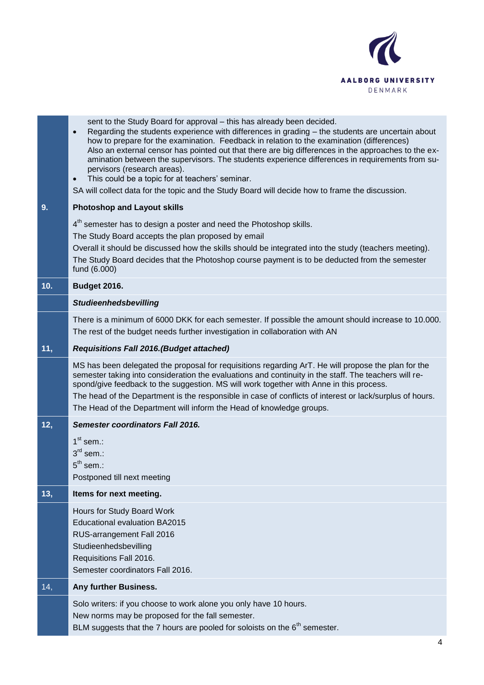

|     | sent to the Study Board for approval - this has already been decided.<br>Regarding the students experience with differences in grading - the students are uncertain about<br>$\bullet$<br>how to prepare for the examination. Feedback in relation to the examination (differences)<br>Also an external censor has pointed out that there are big differences in the approaches to the ex-<br>amination between the supervisors. The students experience differences in requirements from su-<br>pervisors (research areas).<br>This could be a topic for at teachers' seminar.<br>$\bullet$<br>SA will collect data for the topic and the Study Board will decide how to frame the discussion. |
|-----|-------------------------------------------------------------------------------------------------------------------------------------------------------------------------------------------------------------------------------------------------------------------------------------------------------------------------------------------------------------------------------------------------------------------------------------------------------------------------------------------------------------------------------------------------------------------------------------------------------------------------------------------------------------------------------------------------|
| 9.  | <b>Photoshop and Layout skills</b>                                                                                                                                                                                                                                                                                                                                                                                                                                                                                                                                                                                                                                                              |
|     | 4 <sup>th</sup> semester has to design a poster and need the Photoshop skills.<br>The Study Board accepts the plan proposed by email<br>Overall it should be discussed how the skills should be integrated into the study (teachers meeting).<br>The Study Board decides that the Photoshop course payment is to be deducted from the semester<br>fund (6.000)                                                                                                                                                                                                                                                                                                                                  |
| 10. | <b>Budget 2016.</b>                                                                                                                                                                                                                                                                                                                                                                                                                                                                                                                                                                                                                                                                             |
|     | <b>Studieenhedsbevilling</b>                                                                                                                                                                                                                                                                                                                                                                                                                                                                                                                                                                                                                                                                    |
|     | There is a minimum of 6000 DKK for each semester. If possible the amount should increase to 10.000.<br>The rest of the budget needs further investigation in collaboration with AN                                                                                                                                                                                                                                                                                                                                                                                                                                                                                                              |
| 11, | <b>Requisitions Fall 2016. (Budget attached)</b>                                                                                                                                                                                                                                                                                                                                                                                                                                                                                                                                                                                                                                                |
|     | MS has been delegated the proposal for requisitions regarding ArT. He will propose the plan for the<br>semester taking into consideration the evaluations and continuity in the staff. The teachers will re-<br>spond/give feedback to the suggestion. MS will work together with Anne in this process.<br>The head of the Department is the responsible in case of conflicts of interest or lack/surplus of hours.<br>The Head of the Department will inform the Head of knowledge groups.                                                                                                                                                                                                     |
| 12, | Semester coordinators Fall 2016.                                                                                                                                                                                                                                                                                                                                                                                                                                                                                                                                                                                                                                                                |
|     | $1st$ sem.:<br>$3rd$ sem.:<br>$5^{th}$ sem.:<br>Postponed till next meeting                                                                                                                                                                                                                                                                                                                                                                                                                                                                                                                                                                                                                     |
| 13, | Items for next meeting.                                                                                                                                                                                                                                                                                                                                                                                                                                                                                                                                                                                                                                                                         |
|     | Hours for Study Board Work<br><b>Educational evaluation BA2015</b><br>RUS-arrangement Fall 2016<br>Studieenhedsbevilling<br>Requisitions Fall 2016.<br>Semester coordinators Fall 2016.                                                                                                                                                                                                                                                                                                                                                                                                                                                                                                         |
| 14, | Any further Business.                                                                                                                                                                                                                                                                                                                                                                                                                                                                                                                                                                                                                                                                           |
|     | Solo writers: if you choose to work alone you only have 10 hours.<br>New norms may be proposed for the fall semester.<br>BLM suggests that the 7 hours are pooled for soloists on the $6th$ semester.                                                                                                                                                                                                                                                                                                                                                                                                                                                                                           |